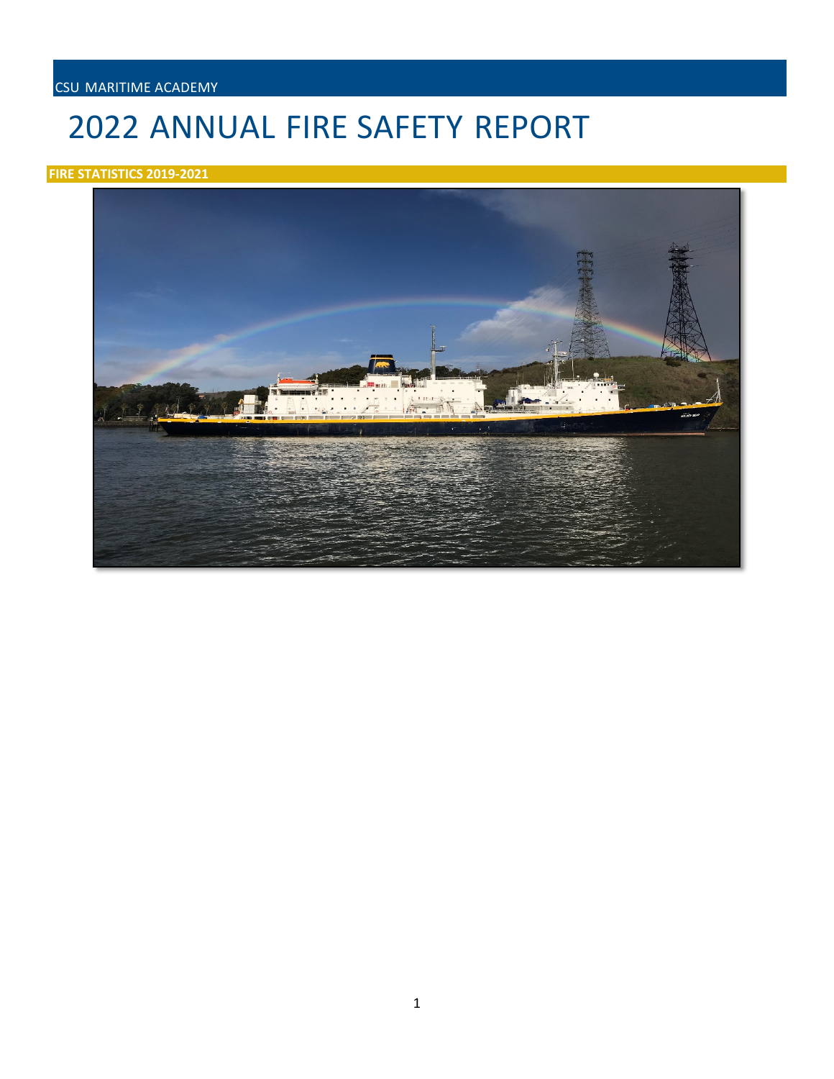## CSU MARITIME ACADEMY

# 2022 ANNUAL FIRE SAFETY REPORT

## **FIRE STATISTICS 2019-2021**

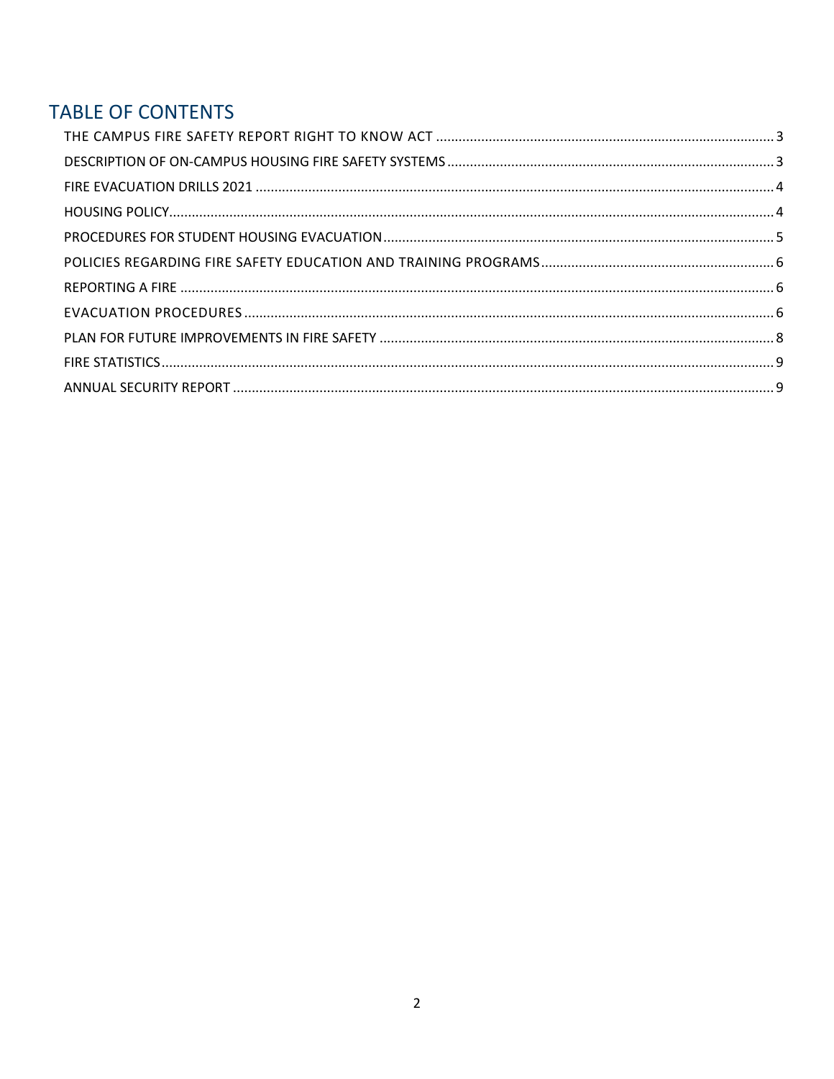# **TABLE OF CONTENTS**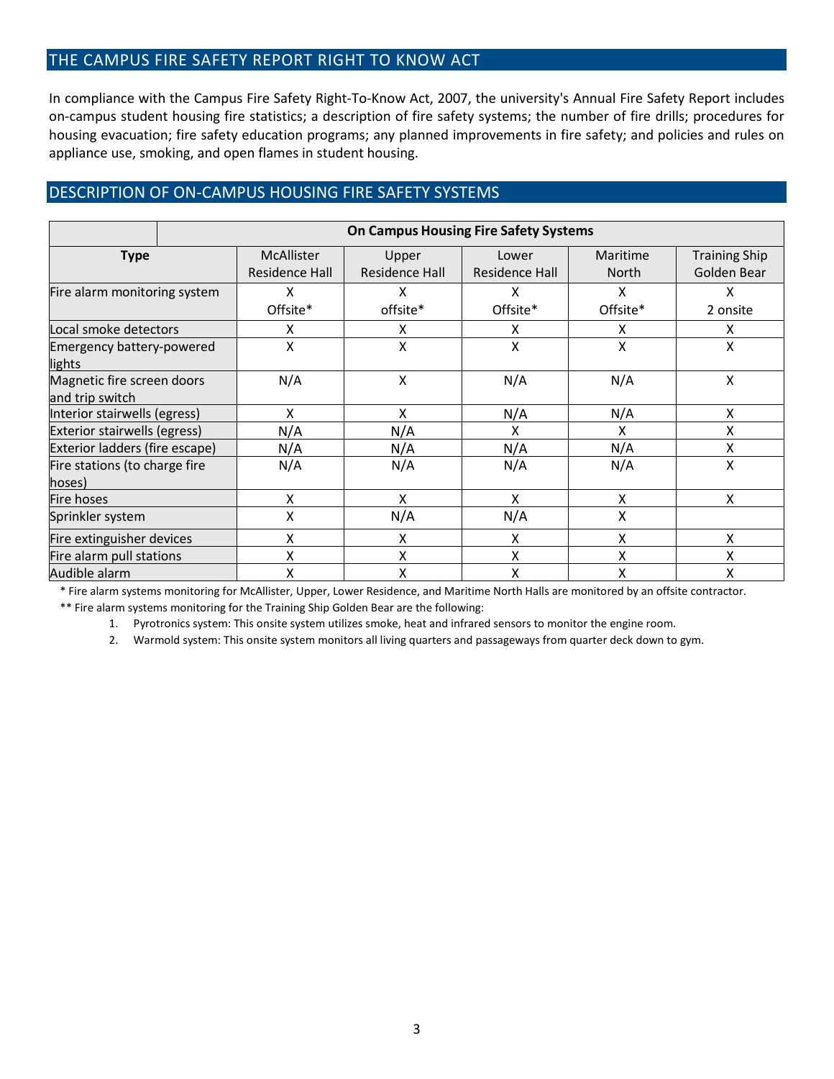## <span id="page-2-0"></span>THE CAMPUS FIRE SAFETY REPORT RIGHT TO KNOW ACT

In compliance with the Campus Fire Safety Right-To-Know Act, 2007, the university's Annual Fire Safety Report includes on-campus student housing fire statistics; a description of fire safety systems; the number of fire drills; procedures for housing evacuation; fire safety education programs; any planned improvements in fire safety; and policies and rules on appliance use, smoking, and open flames in student housing.

## <span id="page-2-1"></span>DESCRIPTION OF ON-CAMPUS HOUSING FIRE SAFETY SYSTEMS

|                                  | <b>On Campus Housing Fire Safety Systems</b> |                   |                |                |              |                      |  |
|----------------------------------|----------------------------------------------|-------------------|----------------|----------------|--------------|----------------------|--|
| <b>Type</b>                      |                                              | <b>McAllister</b> | Upper          | Lower          | Maritime     | <b>Training Ship</b> |  |
|                                  |                                              | Residence Hall    | Residence Hall | Residence Hall | <b>North</b> | Golden Bear          |  |
| Fire alarm monitoring system     |                                              | X                 | X              | Χ              | x            | x                    |  |
|                                  |                                              | Offsite*          | offsite*       | Offsite*       | Offsite*     | 2 onsite             |  |
| Local smoke detectors            |                                              | X                 | x<br>Χ         |                | x            | x                    |  |
| <b>Emergency battery-powered</b> |                                              | Χ                 | Χ              | Χ              | X            | Χ                    |  |
| <b>lights</b>                    |                                              |                   |                |                |              |                      |  |
| Magnetic fire screen doors       |                                              | N/A               | Χ              | N/A            | N/A          | Χ                    |  |
| and trip switch                  |                                              |                   |                |                |              |                      |  |
| Interior stairwells (egress)     |                                              | X                 | x              | N/A            | N/A          | x                    |  |
| Exterior stairwells (egress)     |                                              | N/A               | N/A            | Χ              | x            | Χ                    |  |
| Exterior ladders (fire escape)   |                                              | N/A               | N/A            | N/A            | N/A          | Χ                    |  |
| Fire stations (to charge fire    |                                              | N/A               | N/A            | N/A            | N/A          | Χ                    |  |
| hoses)                           |                                              |                   |                |                |              |                      |  |
| Fire hoses                       |                                              | X                 | X              | x              | X            | x                    |  |
| Sprinkler system                 |                                              | Χ                 | N/A            | N/A            | Χ            |                      |  |
| Fire extinguisher devices        | X                                            |                   | x              | x              | X            | x                    |  |
| Fire alarm pull stations         |                                              | Χ                 | X              | Χ              | Χ            | Χ                    |  |
| Audible alarm                    |                                              | X                 | Χ              | χ              | X            | x                    |  |

\* Fire alarm systems monitoring for McAllister, Upper, Lower Residence, and Maritime North Halls are monitored by an offsite contractor. \*\* Fire alarm systems monitoring for the Training Ship Golden Bear are the following:

1. Pyrotronics system: This onsite system utilizes smoke, heat and infrared sensors to monitor the engine room.

2. Warmold system: This onsite system monitors all living quarters and passageways from quarter deck down to gym.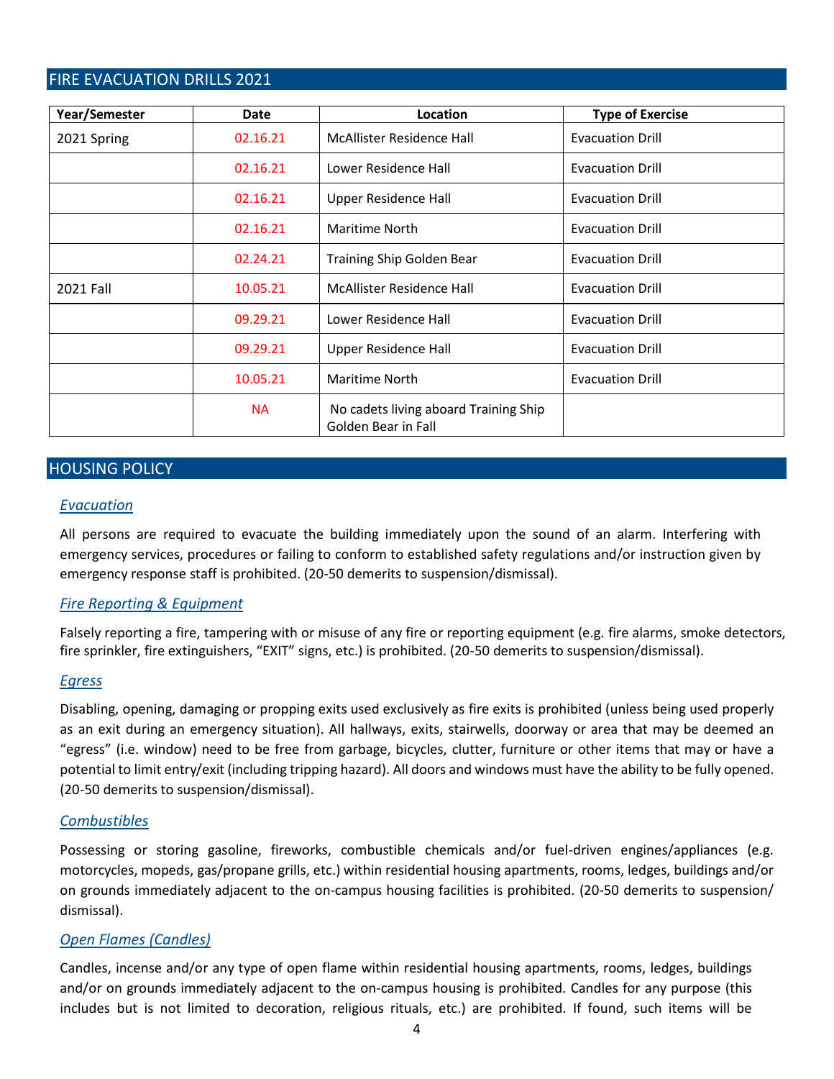## <span id="page-3-0"></span>FIRE EVACUATION DRILLS 2021

| Year/Semester | Location<br>Date |                                                              | <b>Type of Exercise</b> |  |  |
|---------------|------------------|--------------------------------------------------------------|-------------------------|--|--|
| 2021 Spring   | 02.16.21         | McAllister Residence Hall                                    | <b>Evacuation Drill</b> |  |  |
|               | 02.16.21         | Lower Residence Hall                                         | <b>Evacuation Drill</b> |  |  |
|               | 02.16.21         | <b>Upper Residence Hall</b>                                  | <b>Evacuation Drill</b> |  |  |
|               | 02.16.21         | <b>Maritime North</b>                                        | <b>Evacuation Drill</b> |  |  |
|               | 02.24.21         | <b>Training Ship Golden Bear</b>                             | <b>Evacuation Drill</b> |  |  |
| 2021 Fall     | 10.05.21         | <b>McAllister Residence Hall</b>                             | <b>Evacuation Drill</b> |  |  |
|               | 09.29.21         | Lower Residence Hall                                         | <b>Evacuation Drill</b> |  |  |
|               | 09.29.21         | <b>Upper Residence Hall</b>                                  | <b>Evacuation Drill</b> |  |  |
|               | 10.05.21         | <b>Maritime North</b>                                        | <b>Evacuation Drill</b> |  |  |
|               | <b>NA</b>        | No cadets living aboard Training Ship<br>Golden Bear in Fall |                         |  |  |

## <span id="page-3-1"></span>HOUSING POLICY

#### *Evacuation*

All persons are required to evacuate the building immediately upon the sound of an alarm. Interfering with emergency services, procedures or failing to conform to established safety regulations and/or instruction given by emergency response staff is prohibited. (20-50 demerits to suspension/dismissal).

## *Fire Reporting & Equipment*

Falsely reporting a fire, tampering with or misuse of any fire or reporting equipment (e.g. fire alarms, smoke detectors, fire sprinkler, fire extinguishers, "EXIT" signs, etc.) is prohibited. (20-50 demerits to suspension/dismissal).

#### *Egress*

Disabling, opening, damaging or propping exits used exclusively as fire exits is prohibited (unless being used properly as an exit during an emergency situation). All hallways, exits, stairwells, doorway or area that may be deemed an "egress" (i.e. window) need to be free from garbage, bicycles, clutter, furniture or other items that may or have a potential to limit entry/exit (including tripping hazard). All doors and windows must have the ability to be fully opened. (20-50 demerits to suspension/dismissal).

#### *Combustibles*

Possessing or storing gasoline, fireworks, combustible chemicals and/or fuel-driven engines/appliances (e.g. motorcycles, mopeds, gas/propane grills, etc.) within residential housing apartments, rooms, ledges, buildings and/or on grounds immediately adjacent to the on-campus housing facilities is prohibited. (20-50 demerits to suspension/ dismissal).

#### *Open Flames (Candles)*

Candles, incense and/or any type of open flame within residential housing apartments, rooms, ledges, buildings and/or on grounds immediately adjacent to the on-campus housing is prohibited. Candles for any purpose (this includes but is not limited to decoration, religious rituals, etc.) are prohibited. If found, such items will be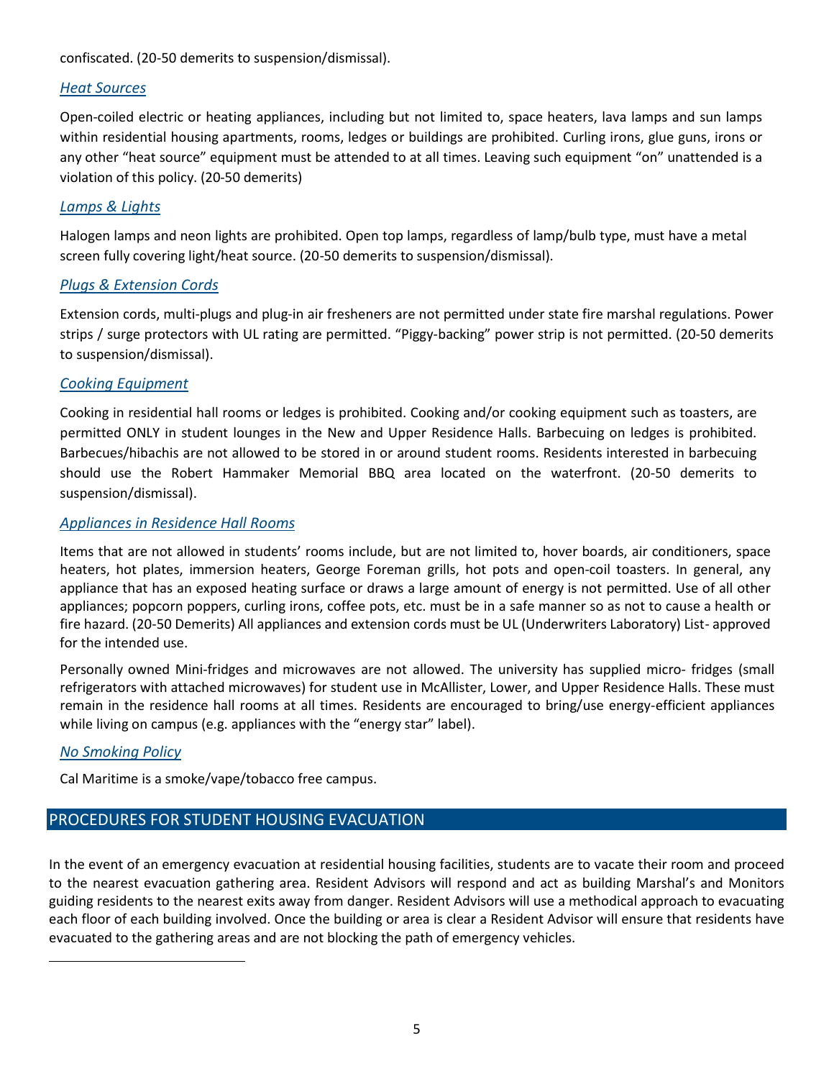confiscated. (20-50 demerits to suspension/dismissal).

#### *Heat Sources*

Open-coiled electric or heating appliances, including but not limited to, space heaters, lava lamps and sun lamps within residential housing apartments, rooms, ledges or buildings are prohibited. Curling irons, glue guns, irons or any other "heat source" equipment must be attended to at all times. Leaving such equipment "on" unattended is a violation of this policy. (20-50 demerits)

#### *Lamps & Lights*

Halogen lamps and neon lights are prohibited. Open top lamps, regardless of lamp/bulb type, must have a metal screen fully covering light/heat source. (20-50 demerits to suspension/dismissal).

## *Plugs & Extension Cords*

Extension cords, multi-plugs and plug-in air fresheners are not permitted under state fire marshal regulations. Power strips / surge protectors with UL rating are permitted. "Piggy-backing" power strip is not permitted. (20-50 demerits to suspension/dismissal).

#### *Cooking Equipment*

Cooking in residential hall rooms or ledges is prohibited. Cooking and/or cooking equipment such as toasters, are permitted ONLY in student lounges in the New and Upper Residence Halls. Barbecuing on ledges is prohibited. Barbecues/hibachis are not allowed to be stored in or around student rooms. Residents interested in barbecuing should use the Robert Hammaker Memorial BBQ area located on the waterfront. (20-50 demerits to suspension/dismissal).

#### *Appliances in Residence Hall Rooms*

Items that are not allowed in students' rooms include, but are not limited to, hover boards, air conditioners, space heaters, hot plates, immersion heaters, George Foreman grills, hot pots and open-coil toasters. In general, any appliance that has an exposed heating surface or draws a large amount of energy is not permitted. Use of all other appliances; popcorn poppers, curling irons, coffee pots, etc. must be in a safe manner so as not to cause a health or fire hazard. (20-50 Demerits) All appliances and extension cords must be UL (Underwriters Laboratory) List- approved for the intended use.

Personally owned Mini-fridges and microwaves are not allowed. The university has supplied micro- fridges (small refrigerators with attached microwaves) for student use in McAllister, Lower, and Upper Residence Halls. These must remain in the residence hall rooms at all times. Residents are encouraged to bring/use energy-efficient appliances while living on campus (e.g. appliances with the "energy star" label).

#### *No Smoking Policy*

Cal Maritime is a smoke/vape/tobacco free campus.

## <span id="page-4-0"></span>PROCEDURES FOR STUDENT HOUSING EVACUATION

In the event of an emergency evacuation at residential housing facilities, students are to vacate their room and proceed to the nearest evacuation gathering area. Resident Advisors will respond and act as building Marshal's and Monitors guiding residents to the nearest exits away from danger. Resident Advisors will use a methodical approach to evacuating each floor of each building involved. Once the building or area is clear a Resident Advisor will ensure that residents have evacuated to the gathering areas and are not blocking the path of emergency vehicles.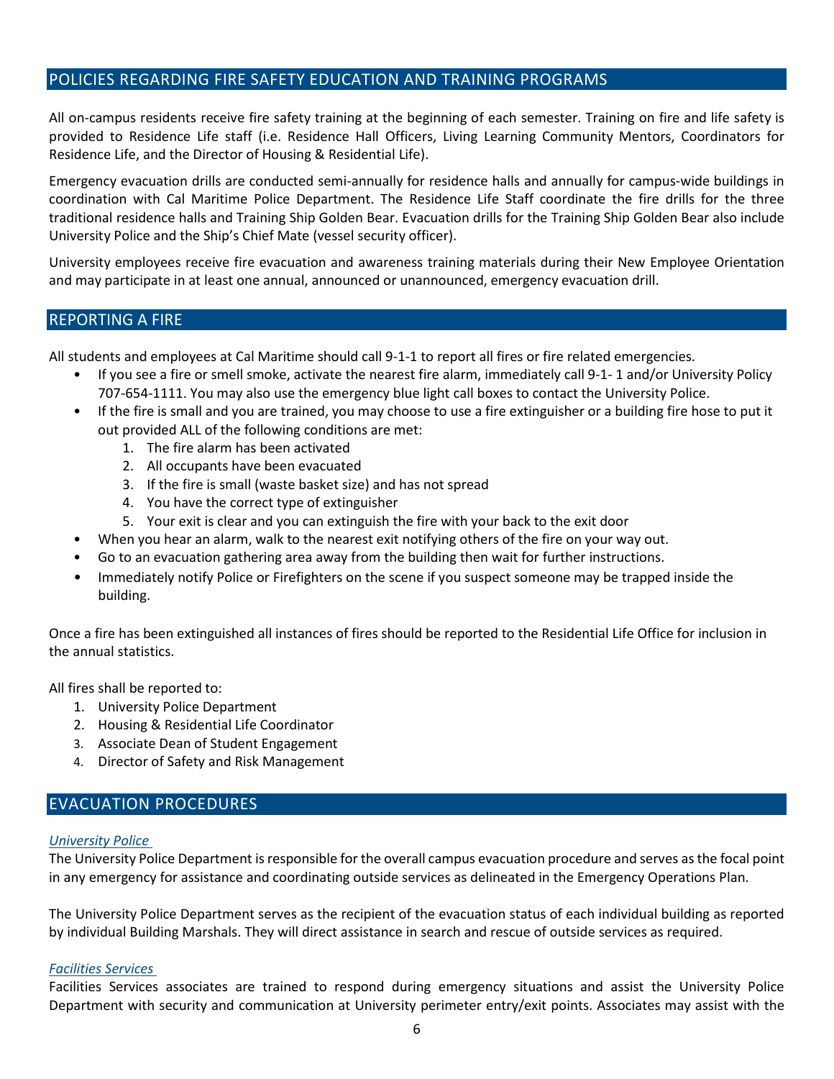## <span id="page-5-0"></span>POLICIES REGARDING FIRE SAFETY EDUCATION AND TRAINING PROGRAMS

All on-campus residents receive fire safety training at the beginning of each semester. Training on fire and life safety is provided to Residence Life staff (i.e. Residence Hall Officers, Living Learning Community Mentors, Coordinators for Residence Life, and the Director of Housing & Residential Life).

Emergency evacuation drills are conducted semi-annually for residence halls and annually for campus-wide buildings in coordination with Cal Maritime Police Department. The Residence Life Staff coordinate the fire drills for the three traditional residence halls and Training Ship Golden Bear. Evacuation drills for the Training Ship Golden Bear also include University Police and the Ship's Chief Mate (vessel security officer).

University employees receive fire evacuation and awareness training materials during their New Employee Orientation and may participate in at least one annual, announced or unannounced, emergency evacuation drill.

#### <span id="page-5-1"></span>REPORTING A FIRE

All students and employees at Cal Maritime should call 9-1-1 to report all fires or fire related emergencies.

- If you see a fire or smell smoke, activate the nearest fire alarm, immediately call 9-1- 1 and/or University Policy 707-654-1111. You may also use the emergency blue light call boxes to contact the University Police.
- If the fire is small and you are trained, you may choose to use a fire extinguisher or a building fire hose to put it out provided ALL of the following conditions are met:
	- 1. The fire alarm has been activated
	- 2. All occupants have been evacuated
	- 3. If the fire is small (waste basket size) and has not spread
	- 4. You have the correct type of extinguisher
	- 5. Your exit is clear and you can extinguish the fire with your back to the exit door
- When you hear an alarm, walk to the nearest exit notifying others of the fire on your way out.
- Go to an evacuation gathering area away from the building then wait for further instructions.
- Immediately notify Police or Firefighters on the scene if you suspect someone may be trapped inside the building.

Once a fire has been extinguished all instances of fires should be reported to the Residential Life Office for inclusion in the annual statistics.

All fires shall be reported to:

- 1. University Police Department
- 2. Housing & Residential Life Coordinator
- 3. Associate Dean of Student Engagement
- 4. Director of Safety and Risk Management

## <span id="page-5-2"></span>EVACUATION PROCEDURES

#### *University Police*

The University Police Department is responsible for the overall campus evacuation procedure and serves as the focal point in any emergency for assistance and coordinating outside services as delineated in the Emergency Operations Plan.

The University Police Department serves as the recipient of the evacuation status of each individual building as reported by individual Building Marshals. They will direct assistance in search and rescue of outside services as required.

#### *Facilities Services*

Facilities Services associates are trained to respond during emergency situations and assist the University Police Department with security and communication at University perimeter entry/exit points. Associates may assist with the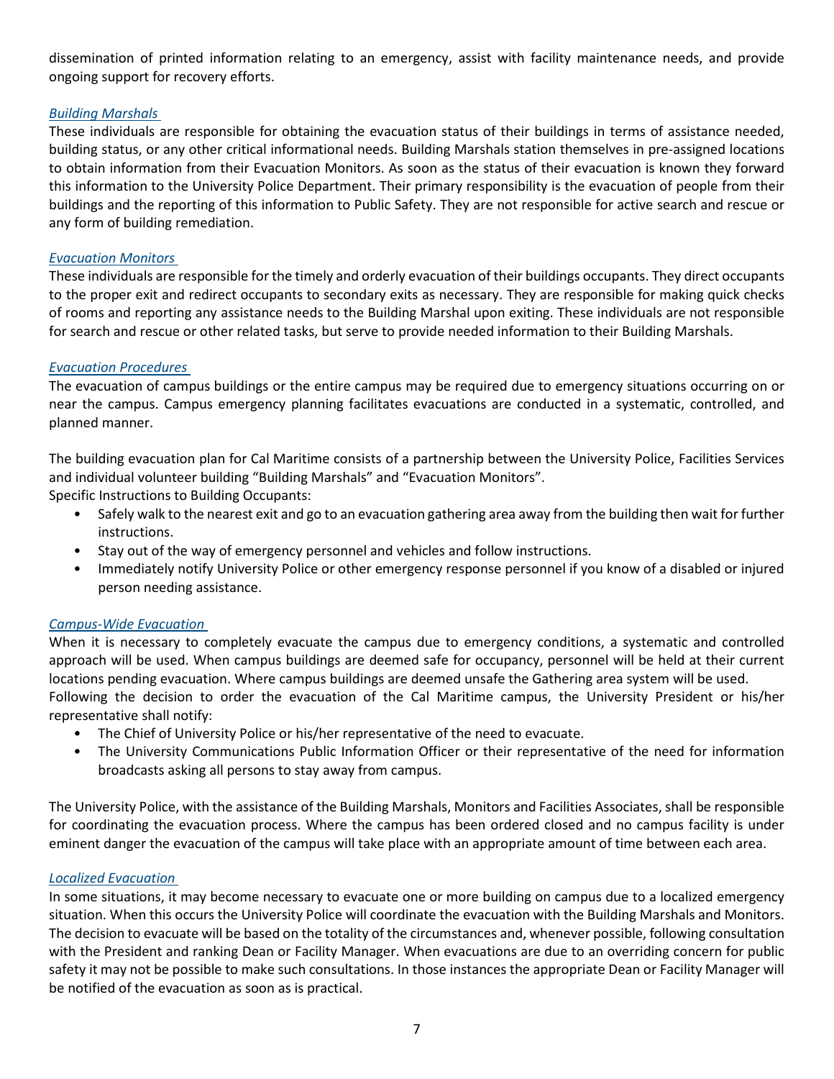dissemination of printed information relating to an emergency, assist with facility maintenance needs, and provide ongoing support for recovery efforts.

#### *Building Marshals*

These individuals are responsible for obtaining the evacuation status of their buildings in terms of assistance needed, building status, or any other critical informational needs. Building Marshals station themselves in pre-assigned locations to obtain information from their Evacuation Monitors. As soon as the status of their evacuation is known they forward this information to the University Police Department. Their primary responsibility is the evacuation of people from their buildings and the reporting of this information to Public Safety. They are not responsible for active search and rescue or any form of building remediation.

#### *Evacuation Monitors*

These individuals are responsible for the timely and orderly evacuation of their buildings occupants. They direct occupants to the proper exit and redirect occupants to secondary exits as necessary. They are responsible for making quick checks of rooms and reporting any assistance needs to the Building Marshal upon exiting. These individuals are not responsible for search and rescue or other related tasks, but serve to provide needed information to their Building Marshals.

#### *Evacuation Procedures*

The evacuation of campus buildings or the entire campus may be required due to emergency situations occurring on or near the campus. Campus emergency planning facilitates evacuations are conducted in a systematic, controlled, and planned manner.

The building evacuation plan for Cal Maritime consists of a partnership between the University Police, Facilities Services and individual volunteer building "Building Marshals" and "Evacuation Monitors".

Specific Instructions to Building Occupants:

- Safely walk to the nearest exit and go to an evacuation gathering area away from the building then wait for further instructions.
- Stay out of the way of emergency personnel and vehicles and follow instructions.
- Immediately notify University Police or other emergency response personnel if you know of a disabled or injured person needing assistance.

#### *Campus-Wide Evacuation*

When it is necessary to completely evacuate the campus due to emergency conditions, a systematic and controlled approach will be used. When campus buildings are deemed safe for occupancy, personnel will be held at their current locations pending evacuation. Where campus buildings are deemed unsafe the Gathering area system will be used. Following the decision to order the evacuation of the Cal Maritime campus, the University President or his/her representative shall notify:

- The Chief of University Police or his/her representative of the need to evacuate.
- The University Communications Public Information Officer or their representative of the need for information broadcasts asking all persons to stay away from campus.

The University Police, with the assistance of the Building Marshals, Monitors and Facilities Associates, shall be responsible for coordinating the evacuation process. Where the campus has been ordered closed and no campus facility is under eminent danger the evacuation of the campus will take place with an appropriate amount of time between each area.

#### *Localized Evacuation*

In some situations, it may become necessary to evacuate one or more building on campus due to a localized emergency situation. When this occurs the University Police will coordinate the evacuation with the Building Marshals and Monitors. The decision to evacuate will be based on the totality of the circumstances and, whenever possible, following consultation with the President and ranking Dean or Facility Manager. When evacuations are due to an overriding concern for public safety it may not be possible to make such consultations. In those instances the appropriate Dean or Facility Manager will be notified of the evacuation as soon as is practical.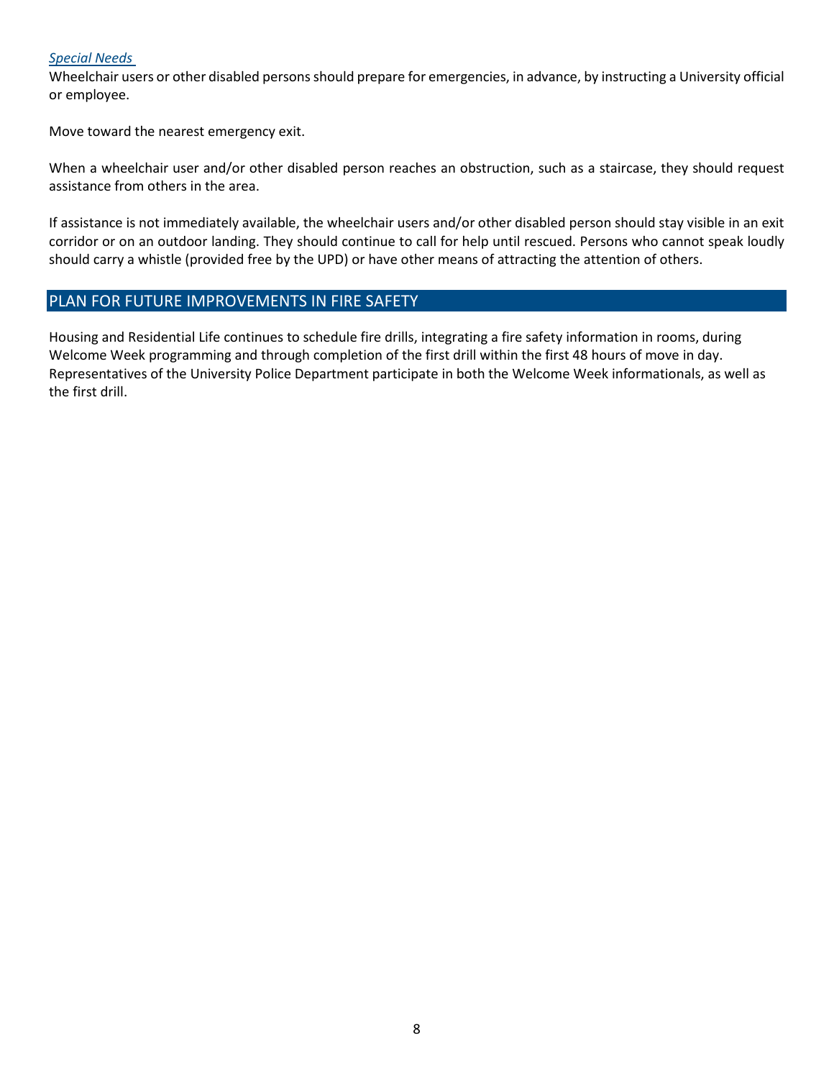#### *Special Needs*

Wheelchair users or other disabled persons should prepare for emergencies, in advance, by instructing a University official or employee.

Move toward the nearest emergency exit.

When a wheelchair user and/or other disabled person reaches an obstruction, such as a staircase, they should request assistance from others in the area.

If assistance is not immediately available, the wheelchair users and/or other disabled person should stay visible in an exit corridor or on an outdoor landing. They should continue to call for help until rescued. Persons who cannot speak loudly should carry a whistle (provided free by the UPD) or have other means of attracting the attention of others.

#### <span id="page-7-0"></span>PLAN FOR FUTURE IMPROVEMENTS IN FIRE SAFETY

Housing and Residential Life continues to schedule fire drills, integrating a fire safety information in rooms, during Welcome Week programming and through completion of the first drill within the first 48 hours of move in day. Representatives of the University Police Department participate in both the Welcome Week informationals, as well as the first drill.